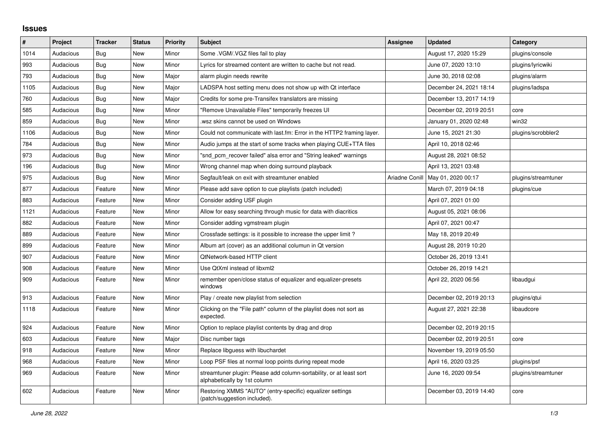## **Issues**

| ∦    | Project   | <b>Tracker</b> | <b>Status</b> | <b>Priority</b> | <b>Subject</b>                                                                                      | <b>Assignee</b> | <b>Updated</b>          | Category            |
|------|-----------|----------------|---------------|-----------------|-----------------------------------------------------------------------------------------------------|-----------------|-------------------------|---------------------|
| 1014 | Audacious | <b>Bug</b>     | <b>New</b>    | Minor           | Some .VGM/.VGZ files fail to play                                                                   |                 | August 17, 2020 15:29   | plugins/console     |
| 993  | Audacious | Bug            | New           | Minor           | Lyrics for streamed content are written to cache but not read.                                      |                 | June 07, 2020 13:10     | plugins/lyricwiki   |
| 793  | Audacious | Bug            | <b>New</b>    | Major           | alarm plugin needs rewrite                                                                          |                 | June 30, 2018 02:08     | plugins/alarm       |
| 1105 | Audacious | <b>Bug</b>     | New           | Major           | LADSPA host setting menu does not show up with Qt interface                                         |                 | December 24, 2021 18:14 | plugins/ladspa      |
| 760  | Audacious | <b>Bug</b>     | <b>New</b>    | Major           | Credits for some pre-Transifex translators are missing                                              |                 | December 13, 2017 14:19 |                     |
| 585  | Audacious | Bug            | <b>New</b>    | Minor           | "Remove Unavailable Files" temporarily freezes UI                                                   |                 | December 02, 2019 20:51 | core                |
| 859  | Audacious | Bug            | New           | Minor           | wsz skins cannot be used on Windows                                                                 |                 | January 01, 2020 02:48  | win32               |
| 1106 | Audacious | Bug            | <b>New</b>    | Minor           | Could not communicate with last.fm: Error in the HTTP2 framing layer.                               |                 | June 15, 2021 21:30     | plugins/scrobbler2  |
| 784  | Audacious | <b>Bug</b>     | <b>New</b>    | Minor           | Audio jumps at the start of some tracks when playing CUE+TTA files                                  |                 | April 10, 2018 02:46    |                     |
| 973  | Audacious | Bug            | New           | Minor           | "snd pcm recover failed" alsa error and "String leaked" warnings                                    |                 | August 28, 2021 08:52   |                     |
| 196  | Audacious | Bug            | New           | Minor           | Wrong channel map when doing surround playback                                                      |                 | April 13, 2021 03:48    |                     |
| 975  | Audacious | <b>Bug</b>     | <b>New</b>    | Minor           | Segfault/leak on exit with streamtuner enabled                                                      | Ariadne Conill  | May 01, 2020 00:17      | plugins/streamtuner |
| 877  | Audacious | Feature        | <b>New</b>    | Minor           | Please add save option to cue playlists (patch included)                                            |                 | March 07, 2019 04:18    | plugins/cue         |
| 883  | Audacious | Feature        | New           | Minor           | Consider adding USF plugin                                                                          |                 | April 07, 2021 01:00    |                     |
| 1121 | Audacious | Feature        | <b>New</b>    | Minor           | Allow for easy searching through music for data with diacritics                                     |                 | August 05, 2021 08:06   |                     |
| 882  | Audacious | Feature        | New           | Minor           | Consider adding vgmstream plugin                                                                    |                 | April 07, 2021 00:47    |                     |
| 889  | Audacious | Feature        | New           | Minor           | Crossfade settings: is it possible to increase the upper limit?                                     |                 | May 18, 2019 20:49      |                     |
| 899  | Audacious | Feature        | New           | Minor           | Album art (cover) as an additional columun in Qt version                                            |                 | August 28, 2019 10:20   |                     |
| 907  | Audacious | Feature        | <b>New</b>    | Minor           | QtNetwork-based HTTP client                                                                         |                 | October 26, 2019 13:41  |                     |
| 908  | Audacious | Feature        | <b>New</b>    | Minor           | Use QtXml instead of libxml2                                                                        |                 | October 26, 2019 14:21  |                     |
| 909  | Audacious | Feature        | <b>New</b>    | Minor           | remember open/close status of equalizer and equalizer-presets<br>windows                            |                 | April 22, 2020 06:56    | libaudgui           |
| 913  | Audacious | Feature        | <b>New</b>    | Minor           | Play / create new playlist from selection                                                           |                 | December 02, 2019 20:13 | plugins/gtui        |
| 1118 | Audacious | Feature        | New           | Minor           | Clicking on the "File path" column of the playlist does not sort as<br>expected.                    |                 | August 27, 2021 22:38   | libaudcore          |
| 924  | Audacious | Feature        | New           | Minor           | Option to replace playlist contents by drag and drop                                                |                 | December 02, 2019 20:15 |                     |
| 603  | Audacious | Feature        | <b>New</b>    | Major           | Disc number tags                                                                                    |                 | December 02, 2019 20:51 | core                |
| 918  | Audacious | Feature        | New           | Minor           | Replace libguess with libuchardet                                                                   |                 | November 19, 2019 05:50 |                     |
| 968  | Audacious | Feature        | <b>New</b>    | Minor           | Loop PSF files at normal loop points during repeat mode                                             |                 | April 16, 2020 03:25    | plugins/psf         |
| 969  | Audacious | Feature        | <b>New</b>    | Minor           | streamtuner plugin: Please add column-sortability, or at least sort<br>alphabetically by 1st column |                 | June 16, 2020 09:54     | plugins/streamtuner |
| 602  | Audacious | Feature        | <b>New</b>    | Minor           | Restoring XMMS "AUTO" (entry-specific) equalizer settings<br>(patch/suggestion included).           |                 | December 03, 2019 14:40 | core                |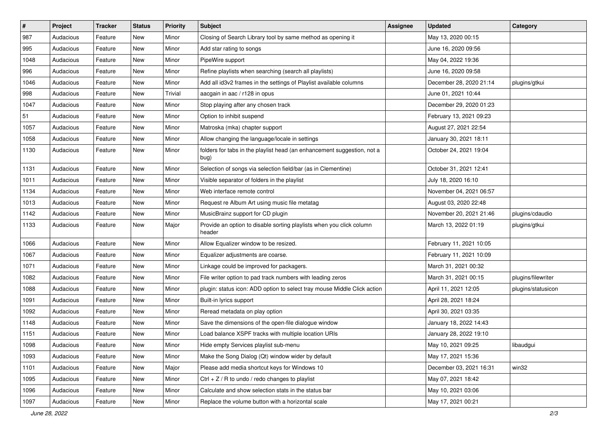| $\vert$ # | Project   | <b>Tracker</b> | <b>Status</b> | <b>Priority</b> | <b>Subject</b>                                                                  | <b>Assignee</b> | <b>Updated</b>          | Category           |
|-----------|-----------|----------------|---------------|-----------------|---------------------------------------------------------------------------------|-----------------|-------------------------|--------------------|
| 987       | Audacious | Feature        | New           | Minor           | Closing of Search Library tool by same method as opening it                     |                 | May 13, 2020 00:15      |                    |
| 995       | Audacious | Feature        | <b>New</b>    | Minor           | Add star rating to songs                                                        |                 | June 16, 2020 09:56     |                    |
| 1048      | Audacious | Feature        | New           | Minor           | PipeWire support                                                                |                 | May 04, 2022 19:36      |                    |
| 996       | Audacious | Feature        | New           | Minor           | Refine playlists when searching (search all playlists)                          |                 | June 16, 2020 09:58     |                    |
| 1046      | Audacious | Feature        | New           | Minor           | Add all id3v2 frames in the settings of Playlist available columns              |                 | December 28, 2020 21:14 | plugins/gtkui      |
| 998       | Audacious | Feature        | New           | Trivial         | aacgain in aac / r128 in opus                                                   |                 | June 01, 2021 10:44     |                    |
| 1047      | Audacious | Feature        | New           | Minor           | Stop playing after any chosen track                                             |                 | December 29, 2020 01:23 |                    |
| 51        | Audacious | Feature        | New           | Minor           | Option to inhibit suspend                                                       |                 | February 13, 2021 09:23 |                    |
| 1057      | Audacious | Feature        | New           | Minor           | Matroska (mka) chapter support                                                  |                 | August 27, 2021 22:54   |                    |
| 1058      | Audacious | Feature        | New           | Minor           | Allow changing the language/locale in settings                                  |                 | January 30, 2021 18:11  |                    |
| 1130      | Audacious | Feature        | New           | Minor           | folders for tabs in the playlist head (an enhancement suggestion, not a<br>bug) |                 | October 24, 2021 19:04  |                    |
| 1131      | Audacious | Feature        | New           | Minor           | Selection of songs via selection field/bar (as in Clementine)                   |                 | October 31, 2021 12:41  |                    |
| 1011      | Audacious | Feature        | New           | Minor           | Visible separator of folders in the playlist                                    |                 | July 18, 2020 16:10     |                    |
| 1134      | Audacious | Feature        | New           | Minor           | Web interface remote control                                                    |                 | November 04, 2021 06:57 |                    |
| 1013      | Audacious | Feature        | New           | Minor           | Request re Album Art using music file metatag                                   |                 | August 03, 2020 22:48   |                    |
| 1142      | Audacious | Feature        | New           | Minor           | MusicBrainz support for CD plugin                                               |                 | November 20, 2021 21:46 | plugins/cdaudio    |
| 1133      | Audacious | Feature        | New           | Major           | Provide an option to disable sorting playlists when you click column<br>header  |                 | March 13, 2022 01:19    | plugins/gtkui      |
| 1066      | Audacious | Feature        | New           | Minor           | Allow Equalizer window to be resized.                                           |                 | February 11, 2021 10:05 |                    |
| 1067      | Audacious | Feature        | New           | Minor           | Equalizer adjustments are coarse.                                               |                 | February 11, 2021 10:09 |                    |
| 1071      | Audacious | Feature        | New           | Minor           | Linkage could be improved for packagers.                                        |                 | March 31, 2021 00:32    |                    |
| 1082      | Audacious | Feature        | New           | Minor           | File writer option to pad track numbers with leading zeros                      |                 | March 31, 2021 00:15    | plugins/filewriter |
| 1088      | Audacious | Feature        | New           | Minor           | plugin: status icon: ADD option to select tray mouse Middle Click action        |                 | April 11, 2021 12:05    | plugins/statusicon |
| 1091      | Audacious | Feature        | New           | Minor           | Built-in lyrics support                                                         |                 | April 28, 2021 18:24    |                    |
| 1092      | Audacious | Feature        | New           | Minor           | Reread metadata on play option                                                  |                 | April 30, 2021 03:35    |                    |
| 1148      | Audacious | Feature        | New           | Minor           | Save the dimensions of the open-file dialogue window                            |                 | January 18, 2022 14:43  |                    |
| 1151      | Audacious | Feature        | New           | Minor           | Load balance XSPF tracks with multiple location URIs                            |                 | January 28, 2022 19:10  |                    |
| 1098      | Audacious | Feature        | New           | Minor           | Hide empty Services playlist sub-menu                                           |                 | May 10, 2021 09:25      | libaudgui          |
| 1093      | Audacious | Feature        | New           | Minor           | Make the Song Dialog (Qt) window wider by default                               |                 | May 17, 2021 15:36      |                    |
| 1101      | Audacious | Feature        | New           | Major           | Please add media shortcut keys for Windows 10                                   |                 | December 03, 2021 16:31 | win32              |
| 1095      | Audacious | Feature        | New           | Minor           | Ctrl + $Z$ / R to undo / redo changes to playlist                               |                 | May 07, 2021 18:42      |                    |
| 1096      | Audacious | Feature        | New           | Minor           | Calculate and show selection stats in the status bar                            |                 | May 10, 2021 03:06      |                    |
| 1097      | Audacious | Feature        | New           | Minor           | Replace the volume button with a horizontal scale                               |                 | May 17, 2021 00:21      |                    |